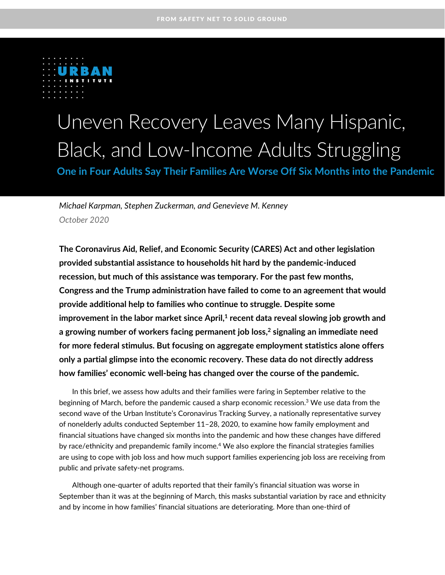

# Uneven Recovery Leaves Many Hispanic, Black, and Low-Income Adults Struggling

**One in Four Adults Say Their Families Are Worse Off Six Months into the Pandemic**

*Michael Karpman, Stephen Zuckerman, and Genevieve M. Kenney October 2020*

**The Coronavirus Aid, Relief, and Economic Security (CARES) Act and other legislation provided substantial assistance to households hit hard by the pandemic-induced recession, but much of this assistance was temporary. For the past few months, Congress and the Trump administration have failed to come to an agreement that would provide additional help to families who continue to struggle. Despite some improvement in the labor market since April, 1 recent data reveal slowing job growth and a growing number of workers facing permanent job loss, 2 signaling an immediate need for more federal stimulus. But focusing on aggregate employment statistics alone offers only a partial glimpse into the economic recovery. These data do not directly address how families' economic well-being has changed over the course of the pandemic.**

In this brief, we assess how adults and their families were faring in September relative to the beginning of March, before the pandemic caused a sharp economic recession. $3$  We use data from the second wave of the Urban Institute's Coronavirus Tracking Survey, a nationally representative survey of nonelderly adults conducted September 11–28, 2020, to examine how family employment and financial situations have changed six months into the pandemic and how these changes have differed by race/ethnicity and prepandemic family income.<sup>4</sup> We also explore the financial strategies families are using to cope with job loss and how much support families experiencing job loss are receiving from public and private safety-net programs.

Although one-quarter of adults reported that their family's financial situation was worse in September than it was at the beginning of March, this masks substantial variation by race and ethnicity and by income in how families' financial situations are deteriorating. More than one-third of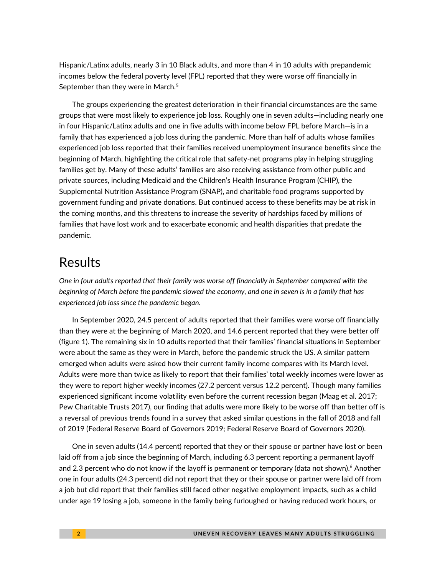Hispanic/Latinx adults, nearly 3 in 10 Black adults, and more than 4 in 10 adults with prepandemic incomes below the federal poverty level (FPL) reported that they were worse off financially in September than they were in March.<sup>5</sup>

The groups experiencing the greatest deterioration in their financial circumstances are the same groups that were most likely to experience job loss. Roughly one in seven adults—including nearly one in four Hispanic/Latinx adults and one in five adults with income below FPL before March—is in a family that has experienced a job loss during the pandemic. More than half of adults whose families experienced job loss reported that their families received unemployment insurance benefits since the beginning of March, highlighting the critical role that safety-net programs play in helping struggling families get by. Many of these adults' families are also receiving assistance from other public and private sources, including Medicaid and the Children's Health Insurance Program (CHIP), the Supplemental Nutrition Assistance Program (SNAP), and charitable food programs supported by government funding and private donations. But continued access to these benefits may be at risk in the coming months, and this threatens to increase the severity of hardships faced by millions of families that have lost work and to exacerbate economic and health disparities that predate the pandemic.

# Results

*One in four adults reported that their family was worse off financially in September compared with the beginning of March before the pandemic slowed the economy, and one in seven is in a family that has experienced job loss since the pandemic began.*

In September 2020, 24.5 percent of adults reported that their families were worse off financially than they were at the beginning of March 2020, and 14.6 percent reported that they were better off (figure 1). The remaining six in 10 adults reported that their families' financial situations in September were about the same as they were in March, before the pandemic struck the US. A similar pattern emerged when adults were asked how their current family income compares with its March level. Adults were more than twice as likely to report that their families' total weekly incomes were lower as they were to report higher weekly incomes (27.2 percent versus 12.2 percent). Though many families experienced significant income volatility even before the current recession began (Maag et al. 2017; Pew Charitable Trusts 2017), our finding that adults were more likely to be worse off than better off is a reversal of previous trends found in a survey that asked similar questions in the fall of 2018 and fall of 2019 (Federal Reserve Board of Governors 2019; Federal Reserve Board of Governors 2020).

One in seven adults (14.4 percent) reported that they or their spouse or partner have lost or been laid off from a job since the beginning of March, including 6.3 percent reporting a permanent layoff and 2.3 percent who do not know if the layoff is permanent or temporary (data not shown).<sup>6</sup> Another one in four adults (24.3 percent) did not report that they or their spouse or partner were laid off from a job but did report that their families still faced other negative employment impacts, such as a child under age 19 losing a job, someone in the family being furloughed or having reduced work hours, or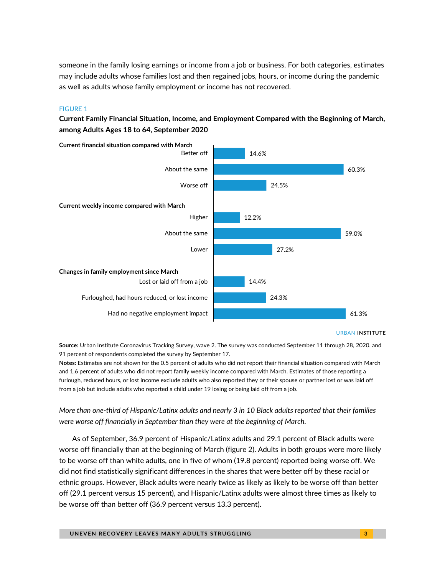someone in the family losing earnings or income from a job or business. For both categories, estimates may include adults whose families lost and then regained jobs, hours, or income during the pandemic as well as adults whose family employment or income has not recovered.

### FIGURE 1

**Current Family Financial Situation, Income, and Employment Compared with the Beginning of March, among Adults Ages 18 to 64, September 2020**



#### URBAN **INSTITUTE**

**Source:** Urban Institute Coronavirus Tracking Survey, wave 2. The survey was conducted September 11 through 28, 2020, and 91 percent of respondents completed the survey by September 17.

**Notes:** Estimates are not shown for the 0.5 percent of adults who did not report their financial situation compared with March and 1.6 percent of adults who did not report family weekly income compared with March. Estimates of those reporting a furlough, reduced hours, or lost income exclude adults who also reported they or their spouse or partner lost or was laid off from a job but include adults who reported a child under 19 losing or being laid off from a job.

### *More than one-third of Hispanic/Latinx adults and nearly 3 in 10 Black adults reported that their families were worse off financially in September than they were at the beginning of March.*

As of September, 36.9 percent of Hispanic/Latinx adults and 29.1 percent of Black adults were worse off financially than at the beginning of March (figure 2). Adults in both groups were more likely to be worse off than white adults, one in five of whom (19.8 percent) reported being worse off. We did not find statistically significant differences in the shares that were better off by these racial or ethnic groups. However, Black adults were nearly twice as likely as likely to be worse off than better off (29.1 percent versus 15 percent), and Hispanic/Latinx adults were almost three times as likely to be worse off than better off (36.9 percent versus 13.3 percent).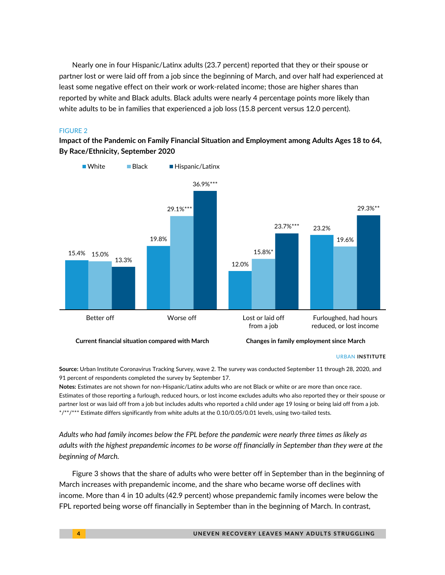Nearly one in four Hispanic/Latinx adults (23.7 percent) reported that they or their spouse or partner lost or were laid off from a job since the beginning of March, and over half had experienced at least some negative effect on their work or work-related income; those are higher shares than reported by white and Black adults. Black adults were nearly 4 percentage points more likely than white adults to be in families that experienced a job loss (15.8 percent versus 12.0 percent).

### FIGURE 2

**Impact of the Pandemic on Family Financial Situation and Employment among Adults Ages 18 to 64, By Race/Ethnicity, September 2020**



#### URBAN **INSTITUTE**

**Source:** Urban Institute Coronavirus Tracking Survey, wave 2. The survey was conducted September 11 through 28, 2020, and 91 percent of respondents completed the survey by September 17.

**Notes:** Estimates are not shown for non-Hispanic/Latinx adults who are not Black or white or are more than once race. Estimates of those reporting a furlough, reduced hours, or lost income excludes adults who also reported they or their spouse or partner lost or was laid off from a job but includes adults who reported a child under age 19 losing or being laid off from a job. \*/\*\*/\*\*\* Estimate differs significantly from white adults at the 0.10/0.05/0.01 levels, using two-tailed tests.

*Adults who had family incomes below the FPL before the pandemic were nearly three times as likely as adults with the highest prepandemic incomes to be worse off financially in September than they were at the beginning of March.*

Figure 3 shows that the share of adults who were better off in September than in the beginning of March increases with prepandemic income, and the share who became worse off declines with income. More than 4 in 10 adults (42.9 percent) whose prepandemic family incomes were below the FPL reported being worse off financially in September than in the beginning of March. In contrast,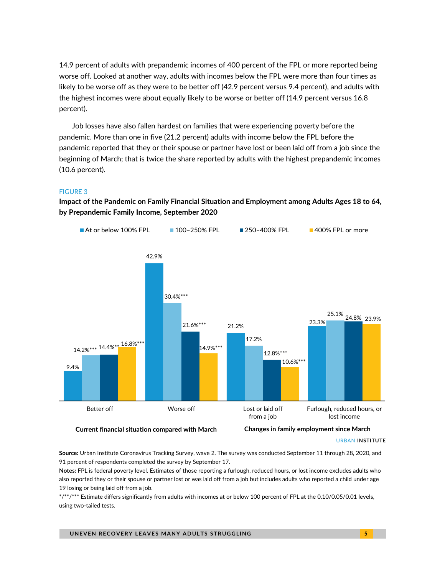14.9 percent of adults with prepandemic incomes of 400 percent of the FPL or more reported being worse off. Looked at another way, adults with incomes below the FPL were more than four times as likely to be worse off as they were to be better off (42.9 percent versus 9.4 percent), and adults with the highest incomes were about equally likely to be worse or better off (14.9 percent versus 16.8 percent).

Job losses have also fallen hardest on families that were experiencing poverty before the pandemic. More than one in five (21.2 percent) adults with income below the FPL before the pandemic reported that they or their spouse or partner have lost or been laid off from a job since the beginning of March; that is twice the share reported by adults with the highest prepandemic incomes (10.6 percent).

### FIGURE 3

**Impact of the Pandemic on Family Financial Situation and Employment among Adults Ages 18 to 64, by Prepandemic Family Income, September 2020**



URBAN **INSTITUTE**

**Source:** Urban Institute Coronavirus Tracking Survey, wave 2. The survey was conducted September 11 through 28, 2020, and 91 percent of respondents completed the survey by September 17.

**Notes:** FPL is federal poverty level. Estimates of those reporting a furlough, reduced hours, or lost income excludes adults who also reported they or their spouse or partner lost or was laid off from a job but includes adults who reported a child under age 19 losing or being laid off from a job.

\*/\*\*/\*\*\* Estimate differs significantly from adults with incomes at or below 100 percent of FPL at the 0.10/0.05/0.01 levels, using two-tailed tests.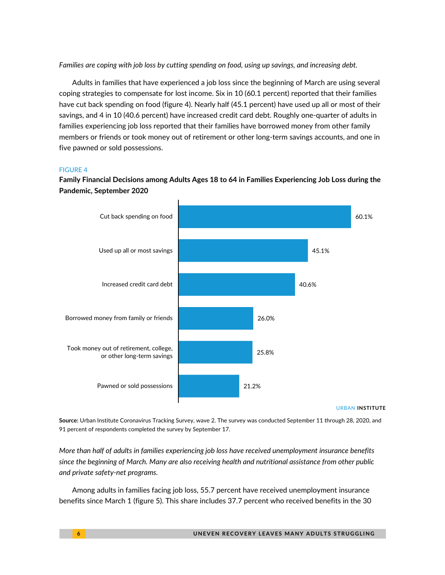*Families are coping with job loss by cutting spending on food, using up savings, and increasing debt.*

Adults in families that have experienced a job loss since the beginning of March are using several coping strategies to compensate for lost income. Six in 10 (60.1 percent) reported that their families have cut back spending on food (figure 4). Nearly half (45.1 percent) have used up all or most of their savings, and 4 in 10 (40.6 percent) have increased credit card debt. Roughly one-quarter of adults in families experiencing job loss reported that their families have borrowed money from other family members or friends or took money out of retirement or other long-term savings accounts, and one in five pawned or sold possessions.

### FIGURE 4

**Family Financial Decisions among Adults Ages 18 to 64 in Families Experiencing Job Loss during the Pandemic, September 2020**



URBAN **INSTITUTE**

**Source:** Urban Institute Coronavirus Tracking Survey, wave 2. The survey was conducted September 11 through 28, 2020, and 91 percent of respondents completed the survey by September 17.

*More than half of adults in families experiencing job loss have received unemployment insurance benefits since the beginning of March. Many are also receiving health and nutritional assistance from other public and private safety-net programs.*

Among adults in families facing job loss, 55.7 percent have received unemployment insurance benefits since March 1 (figure 5). This share includes 37.7 percent who received benefits in the 30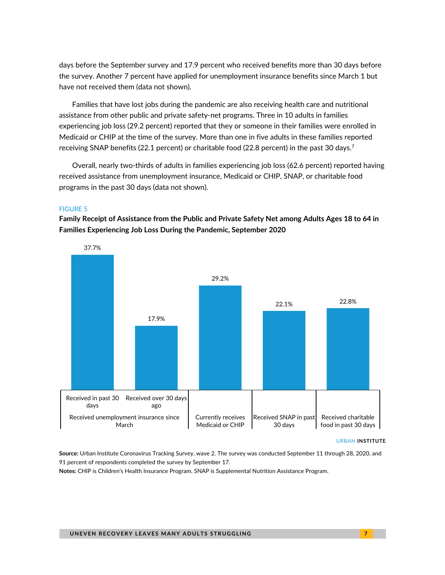days before the September survey and 17.9 percent who received benefits more than 30 days before the survey. Another 7 percent have applied for unemployment insurance benefits since March 1 but have not received them (data not shown).

Families that have lost jobs during the pandemic are also receiving health care and nutritional assistance from other public and private safety-net programs. Three in 10 adults in families experiencing job loss (29.2 percent) reported that they or someone in their families were enrolled in Medicaid or CHIP at the time of the survey. More than one in five adults in these families reported receiving SNAP benefits (22.1 percent) or charitable food (22.8 percent) in the past 30 days.<sup>7</sup>

Overall, nearly two-thirds of adults in families experiencing job loss (62.6 percent) reported having received assistance from unemployment insurance, Medicaid or CHIP, SNAP, or charitable food programs in the past 30 days (data not shown).

### FIGURE 5

**Family Receipt of Assistance from the Public and Private Safety Net among Adults Ages 18 to 64 in Families Experiencing Job Loss During the Pandemic, September 2020**



#### URBAN **INSTITUTE**

**Source:** Urban Institute Coronavirus Tracking Survey, wave 2. The survey was conducted September 11 through 28, 2020, and 91 percent of respondents completed the survey by September 17.

**Notes:** CHIP is Children's Health Insurance Program. SNAP is Supplemental Nutrition Assistance Program.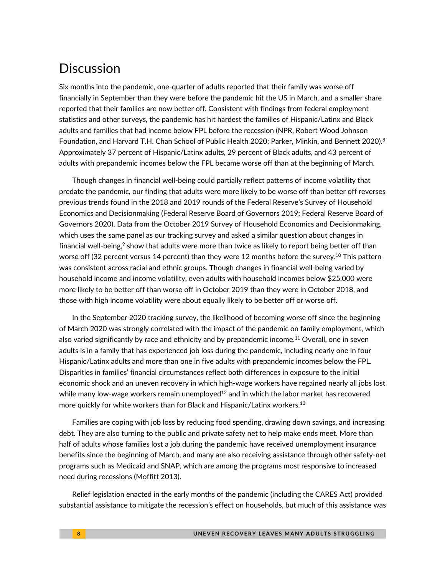# **Discussion**

Six months into the pandemic, one-quarter of adults reported that their family was worse off financially in September than they were before the pandemic hit the US in March, and a smaller share reported that their families are now better off. Consistent with findings from federal employment statistics and other surveys, the pandemic has hit hardest the families of Hispanic/Latinx and Black adults and families that had income below FPL before the recession (NPR, Robert Wood Johnson Foundation, and Harvard T.H. Chan School of Public Health 2020; Parker, Minkin, and Bennett 2020). 8 Approximately 37 percent of Hispanic/Latinx adults, 29 percent of Black adults, and 43 percent of adults with prepandemic incomes below the FPL became worse off than at the beginning of March.

Though changes in financial well-being could partially reflect patterns of income volatility that predate the pandemic, our finding that adults were more likely to be worse off than better off reverses previous trends found in the 2018 and 2019 rounds of the Federal Reserve's Survey of Household Economics and Decisionmaking (Federal Reserve Board of Governors 2019; Federal Reserve Board of Governors 2020). Data from the October 2019 Survey of Household Economics and Decisionmaking, which uses the same panel as our tracking survey and asked a similar question about changes in financial well-being, $\degree$  show that adults were more than twice as likely to report being better off than worse off (32 percent versus 14 percent) than they were 12 months before the survey. <sup>10</sup> This pattern was consistent across racial and ethnic groups. Though changes in financial well-being varied by household income and income volatility, even adults with household incomes below \$25,000 were more likely to be better off than worse off in October 2019 than they were in October 2018, and those with high income volatility were about equally likely to be better off or worse off.

In the September 2020 tracking survey, the likelihood of becoming worse off since the beginning of March 2020 was strongly correlated with the impact of the pandemic on family employment, which also varied significantly by race and ethnicity and by prepandemic income. <sup>11</sup> Overall, one in seven adults is in a family that has experienced job loss during the pandemic, including nearly one in four Hispanic/Latinx adults and more than one in five adults with prepandemic incomes below the FPL. Disparities in families' financial circumstances reflect both differences in exposure to the initial economic shock and an uneven recovery in which high-wage workers have regained nearly all jobs lost while many low-wage workers remain unemployed $^{12}$  and in which the labor market has recovered more quickly for white workers than for Black and Hispanic/Latinx workers. $^{13}$ 

Families are coping with job loss by reducing food spending, drawing down savings, and increasing debt. They are also turning to the public and private safety net to help make ends meet. More than half of adults whose families lost a job during the pandemic have received unemployment insurance benefits since the beginning of March, and many are also receiving assistance through other safety-net programs such as Medicaid and SNAP, which are among the programs most responsive to increased need during recessions (Moffitt 2013).

Relief legislation enacted in the early months of the pandemic (including the CARES Act) provided substantial assistance to mitigate the recession's effect on households, but much of this assistance was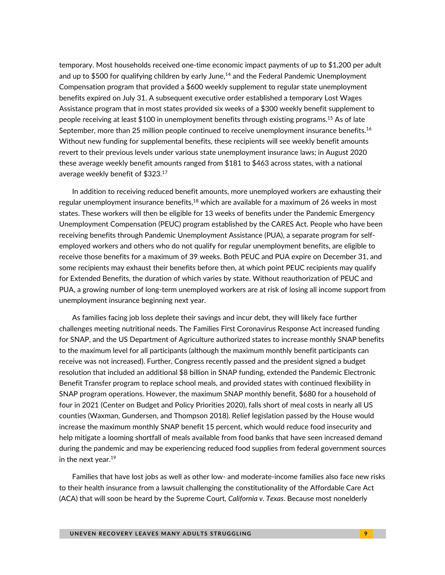temporary. Most households received one-time economic impact payments of up to \$1,200 per adult and up to \$500 for qualifying children by early June,<sup>14</sup> and the Federal Pandemic Unemployment Compensation program that provided a \$600 weekly supplement to regular state unemployment benefits expired on July 31. A subsequent executive order established a temporary Lost Wages Assistance program that in most states provided six weeks of a \$300 weekly benefit supplement to people receiving at least \$100 in unemployment benefits through existing programs. <sup>15</sup> As of late September, more than 25 million people continued to receive unemployment insurance benefits.<sup>16</sup> Without new funding for supplemental benefits, these recipients will see weekly benefit amounts revert to their previous levels under various state unemployment insurance laws; in August 2020 these average weekly benefit amounts ranged from \$181 to \$463 across states, with a national average weekly benefit of \$323. 17

In addition to receiving reduced benefit amounts, more unemployed workers are exhausting their regular unemployment insurance benefits,<sup>18</sup> which are available for a maximum of 26 weeks in most states. These workers will then be eligible for 13 weeks of benefits under the Pandemic Emergency Unemployment Compensation (PEUC) program established by the CARES Act. People who have been receiving benefits through Pandemic Unemployment Assistance (PUA), a separate program for selfemployed workers and others who do not qualify for regular unemployment benefits, are eligible to receive those benefits for a maximum of 39 weeks. Both PEUC and PUA expire on December 31, and some recipients may exhaust their benefits before then, at which point PEUC recipients may qualify for Extended Benefits, the duration of which varies by state. Without reauthorization of PEUC and PUA, a growing number of long-term unemployed workers are at risk of losing all income support from unemployment insurance beginning next year.

As families facing job loss deplete their savings and incur debt, they will likely face further challenges meeting nutritional needs. The Families First Coronavirus Response Act increased funding for SNAP, and the US Department of Agriculture authorized states to increase monthly SNAP benefits to the maximum level for all participants (although the maximum monthly benefit participants can receive was not increased). Further, Congress recently passed and the president signed a budget resolution that included an additional \$8 billion in SNAP funding, extended the Pandemic Electronic Benefit Transfer program to replace school meals, and provided states with continued flexibility in SNAP program operations. However, the maximum SNAP monthly benefit, \$680 for a household of four in 2021 (Center on Budget and Policy Priorities 2020), falls short of meal costs in nearly all US counties (Waxman, Gundersen, and Thompson 2018). Relief legislation passed by the House would increase the maximum monthly SNAP benefit 15 percent, which would reduce food insecurity and help mitigate a looming shortfall of meals available from food banks that have seen increased demand during the pandemic and may be experiencing reduced food supplies from federal government sources in the next year. 19

Families that have lost jobs as well as other low- and moderate-income families also face new risks to their health insurance from a lawsuit challenging the constitutionality of the Affordable Care Act (ACA) that will soon be heard by the Supreme Court, *California v. Texas*. Because most nonelderly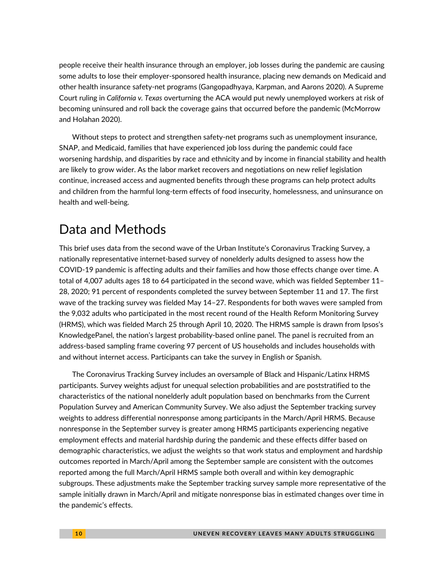people receive their health insurance through an employer, job losses during the pandemic are causing some adults to lose their employer-sponsored health insurance, placing new demands on Medicaid and other health insurance safety-net programs (Gangopadhyaya, Karpman, and Aarons 2020). A Supreme Court ruling in *California v. Texas* overturning the ACA would put newly unemployed workers at risk of becoming uninsured and roll back the coverage gains that occurred before the pandemic (McMorrow and Holahan 2020).

Without steps to protect and strengthen safety-net programs such as unemployment insurance, SNAP, and Medicaid, families that have experienced job loss during the pandemic could face worsening hardship, and disparities by race and ethnicity and by income in financial stability and health are likely to grow wider. As the labor market recovers and negotiations on new relief legislation continue, increased access and augmented benefits through these programs can help protect adults and children from the harmful long-term effects of food insecurity, homelessness, and uninsurance on health and well-being.

# Data and Methods

This brief uses data from the second wave of the Urban Institute's Coronavirus Tracking Survey, a nationally representative internet-based survey of nonelderly adults designed to assess how the COVID-19 pandemic is affecting adults and their families and how those effects change over time. A total of 4,007 adults ages 18 to 64 participated in the second wave, which was fielded September 11– 28, 2020; 91 percent of respondents completed the survey between September 11 and 17. The first wave of the tracking survey was fielded May 14–27. Respondents for both waves were sampled from the 9,032 adults who participated in the most recent round of the Health Reform Monitoring Survey (HRMS), which was fielded March 25 through April 10, 2020. The HRMS sample is drawn from Ipsos's KnowledgePanel, the nation's largest probability-based online panel. The panel is recruited from an address-based sampling frame covering 97 percent of US households and includes households with and without internet access. Participants can take the survey in English or Spanish.

The Coronavirus Tracking Survey includes an oversample of Black and Hispanic/Latinx HRMS participants. Survey weights adjust for unequal selection probabilities and are poststratified to the characteristics of the national nonelderly adult population based on benchmarks from the Current Population Survey and American Community Survey. We also adjust the September tracking survey weights to address differential nonresponse among participants in the March/April HRMS. Because nonresponse in the September survey is greater among HRMS participants experiencing negative employment effects and material hardship during the pandemic and these effects differ based on demographic characteristics, we adjust the weights so that work status and employment and hardship outcomes reported in March/April among the September sample are consistent with the outcomes reported among the full March/April HRMS sample both overall and within key demographic subgroups. These adjustments make the September tracking survey sample more representative of the sample initially drawn in March/April and mitigate nonresponse bias in estimated changes over time in the pandemic's effects.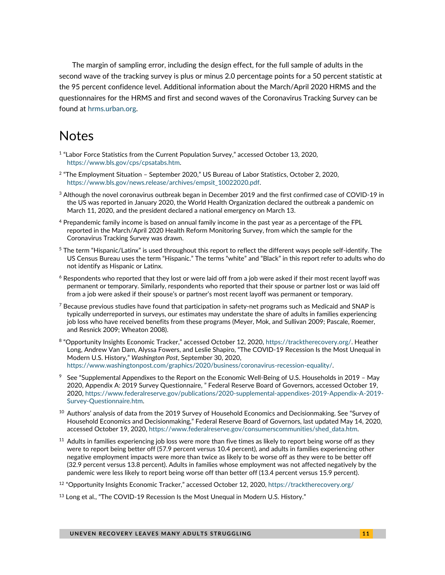The margin of sampling error, including the design effect, for the full sample of adults in the second wave of the tracking survey is plus or minus 2.0 percentage points for a 50 percent statistic at the 95 percent confidence level. Additional information about the March/April 2020 HRMS and the questionnaires for the HRMS and first and second waves of the Coronavirus Tracking Survey can be found at [hrms.urban.org.](https://hrms.urban.org/)

# **Notes**

- <sup>1</sup> "Labor Force Statistics from the Current Population Survey," accessed October 13, 2020, [https://www.bls.gov/cps/cpsatabs.htm.](https://www.bls.gov/cps/cpsatabs.htm)
- 2 "The Employment Situation September 2020," US Bureau of Labor Statistics, October 2, 2020, [https://www.bls.gov/news.release/archives/empsit\\_10022020.pdf.](https://www.bls.gov/news.release/archives/empsit_10022020.pdf)
- $3$  Although the novel coronavirus outbreak began in December 2019 and the first confirmed case of COVID-19 in the US was reported in January 2020, the World Health Organization declared the outbreak a pandemic on March 11, 2020, and the president declared a national emergency on March 13.
- <sup>4</sup> Prepandemic family income is based on annual family income in the past year as a percentage of the FPL reported in the March/April 2020 Health Reform Monitoring Survey, from which the sample for the Coronavirus Tracking Survey was drawn.
- $5$  The term "Hispanic/Latinx" is used throughout this report to reflect the different ways people self-identify. The US Census Bureau uses the term "Hispanic." The terms "white" and "Black" in this report refer to adults who do not identify as Hispanic or Latinx.
- $6$  Respondents who reported that they lost or were laid off from a job were asked if their most recent layoff was permanent or temporary. Similarly, respondents who reported that their spouse or partner lost or was laid off from a job were asked if their spouse's or partner's most recent layoff was permanent or temporary.
- $^7$  Because previous studies have found that participation in safety-net programs such as Medicaid and SNAP is typically underreported in surveys, our estimates may understate the share of adults in families experiencing job loss who have received benefits from these programs (Meyer, Mok, and Sullivan 2009; Pascale, Roemer, and Resnick 2009; Wheaton 2008).
- 8 "Opportunity Insights Economic Tracker," accessed October 12, 2020, [https://tracktherecovery.org/.](https://tracktherecovery.org/) Heather Long, Andrew Van Dam, Alyssa Fowers, and Leslie Shapiro, "The COVID-19 Recession Is the Most Unequal in Modern U.S. History," *Washington Post*, September 30, 2020, [https://www.washingtonpost.com/graphics/2020/business/coronavirus-recession-equality/.](https://www.washingtonpost.com/graphics/2020/business/coronavirus-recession-equality/)
- <sup>9</sup> See "Supplemental Appendixes to the Report on the Economic Well-Being of U.S. Households in 2019 May 2020, Appendix A: 2019 Survey Questionnaire, " Federal Reserve Board of Governors, accessed October 19, 2020[, https://www.federalreserve.gov/publications/2020-supplemental-appendixes-2019-Appendix-A-2019-](https://www.federalreserve.gov/publications/2020-supplemental-appendixes-2019-Appendix-A-2019-Survey-Questionnaire.htm) [Survey-Questionnaire.htm.](https://www.federalreserve.gov/publications/2020-supplemental-appendixes-2019-Appendix-A-2019-Survey-Questionnaire.htm)
- $^\mathrm{10}$  Authors' analysis of data from the 2019 Survey of Household Economics and Decisionmaking. See "Survey of Household Economics and Decisionmaking," Federal Reserve Board of Governors, last updated May 14, 2020, accessed October 19, 2020, [https://www.federalreserve.gov/consumerscommunities/shed\\_data.htm.](https://www.federalreserve.gov/consumerscommunities/shed_data.htm)
- $11$  Adults in families experiencing job loss were more than five times as likely to report being worse off as they were to report being better off (57.9 percent versus 10.4 percent), and adults in families experiencing other negative employment impacts were more than twice as likely to be worse off as they were to be better off (32.9 percent versus 13.8 percent). Adults in families whose employment was not affected negatively by the pandemic were less likely to report being worse off than better off (13.4 percent versus 15.9 percent).
- <sup>12</sup> "Opportunity Insights Economic Tracker," accessed October 12, 2020, <https://tracktherecovery.org/>
- $13$  Long et al., "The COVID-19 Recession Is the Most Unequal in Modern U.S. History."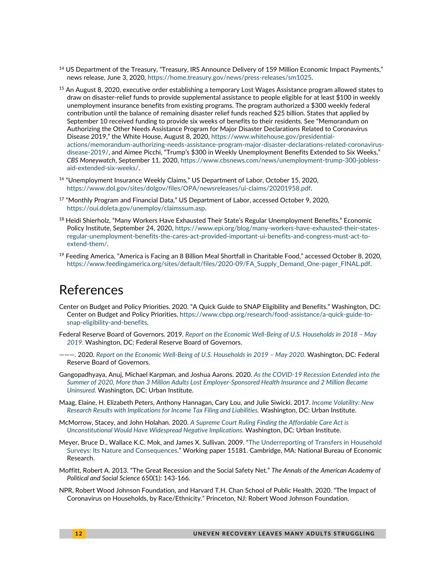- <sup>14</sup> US Department of the Treasury, "Treasury, IRS Announce Delivery of 159 Million Economic Impact Payments," news release, June 3, 2020, [https://home.treasury.gov/news/press-releases/sm1025.](https://home.treasury.gov/news/press-releases/sm1025)
- $^{15}$  An August 8, 2020, executive order establishing a temporary Lost Wages Assistance program allowed states to draw on disaster-relief funds to provide supplemental assistance to people eligible for at least \$100 in weekly unemployment insurance benefits from existing programs. The program authorized a \$300 weekly federal contribution until the balance of remaining disaster relief funds reached \$25 billion. States that applied by September 10 received funding to provide six weeks of benefits to their residents. See "Memorandum on Authorizing the Other Needs Assistance Program for Major Disaster Declarations Related to Coronavirus Disease 2019," the White House, August 8, 2020, [https://www.whitehouse.gov/presidential](https://www.whitehouse.gov/presidential-actions/memorandum-authorizing-needs-assistance-program-major-disaster-declarations-related-coronavirus-disease-2019/)[actions/memorandum-authorizing-needs-assistance-program-major-disaster-declarations-related-coronavirus](https://www.whitehouse.gov/presidential-actions/memorandum-authorizing-needs-assistance-program-major-disaster-declarations-related-coronavirus-disease-2019/)[disease-2019/,](https://www.whitehouse.gov/presidential-actions/memorandum-authorizing-needs-assistance-program-major-disaster-declarations-related-coronavirus-disease-2019/) and Aimee Picchi, "Trump's \$300 in Weekly Unemployment Benefits Extended to Six Weeks," *CBS Moneywatch*, September 11, 2020[, https://www.cbsnews.com/news/unemployment-trump-300-jobless](https://www.cbsnews.com/news/unemployment-trump-300-jobless-aid-extended-six-weeks/)[aid-extended-six-weeks/.](https://www.cbsnews.com/news/unemployment-trump-300-jobless-aid-extended-six-weeks/)
- <sup>16</sup> "Unemployment Insurance Weekly Claims," US Department of Labor, October 15, 2020, [https://www.dol.gov/sites/dolgov/files/OPA/newsreleases/ui-claims/20201958.pdf.](https://www.dol.gov/sites/dolgov/files/OPA/newsreleases/ui-claims/20201958.pdf)
- <sup>17</sup> "Monthly Program and Financial Data," US Department of Labor, accessed October 9, 2020, [https://oui.doleta.gov/unemploy/claimssum.asp.](https://oui.doleta.gov/unemploy/claimssum.asp)
- <sup>18</sup> Heidi Shierholz, "Many Workers Have Exhausted Their State's Regular Unemployment Benefits," Economic Policy Institute, September 24, 2020, [https://www.epi.org/blog/many-workers-have-exhausted-their-states](https://www.epi.org/blog/many-workers-have-exhausted-their-states-regular-unemployment-benefits-the-cares-act-provided-important-ui-benefits-and-congress-must-act-to-extend-them/)[regular-unemployment-benefits-the-cares-act-provided-important-ui-benefits-and-congress-must-act-to](https://www.epi.org/blog/many-workers-have-exhausted-their-states-regular-unemployment-benefits-the-cares-act-provided-important-ui-benefits-and-congress-must-act-to-extend-them/)[extend-them/.](https://www.epi.org/blog/many-workers-have-exhausted-their-states-regular-unemployment-benefits-the-cares-act-provided-important-ui-benefits-and-congress-must-act-to-extend-them/)
- $^{19}$  Feeding America, "America is Facing an 8 Billion Meal Shortfall in Charitable Food," accessed October 8, 2020, [https://www.feedingamerica.org/sites/default/files/2020-09/FA\\_Supply\\_Demand\\_One-pager\\_FINAL.pdf.](https://www.feedingamerica.org/sites/default/files/2020-09/FA_Supply_Demand_One-pager_FINAL.pdf)

## References

- Center on Budget and Policy Priorities. 2020. "A Quick Guide to SNAP Eligibility and Benefits." Washington, DC: Center on Budget and Policy Priorities[. https://www.cbpp.org/research/food-assistance/a-quick-guide-to](https://www.cbpp.org/research/food-assistance/a-quick-guide-to-snap-eligibility-and-benefits)[snap-eligibility-and-benefits.](https://www.cbpp.org/research/food-assistance/a-quick-guide-to-snap-eligibility-and-benefits)
- Federal Reserve Board of Governors. 2019. *[Report on the Economic Well-Being of U.S. Households in 2018](https://www.federalreserve.gov/publications/2019-economic-well-being-of-us-households-in-2018-preface.htm)  May [2019.](https://www.federalreserve.gov/publications/2019-economic-well-being-of-us-households-in-2018-preface.htm)* Washington, DC: Federal Reserve Board of Governors.
- ———. 2020. *[Report on the Economic Well-Being of U.S. Households in 2019](https://www.federalreserve.gov/publications/2020-economic-well-being-of-us-households-in-2019-preface.htm) – May 2020.* Washington, DC: Federal Reserve Board of Governors.
- Gangopadhyaya, Anuj, Michael Karpman, and Joshua Aarons. 2020. *[As the COVID-19 Recession Extended into the](https://www.urban.org/research/publication/covid-19-recession-extended-summer-2020-more-3-million-adults-lost-employer-sponsored-health-insurance-coverage-and-2-million-became-uninsured)  [Summer of 2020, More than 3 Million Adults Lost Employer-Sponsored Health Insurance and 2 Million Became](https://www.urban.org/research/publication/covid-19-recession-extended-summer-2020-more-3-million-adults-lost-employer-sponsored-health-insurance-coverage-and-2-million-became-uninsured)  [Uninsured.](https://www.urban.org/research/publication/covid-19-recession-extended-summer-2020-more-3-million-adults-lost-employer-sponsored-health-insurance-coverage-and-2-million-became-uninsured)* Washington, DC: Urban Institute.
- Maag, Elaine, H. Elizabeth Peters, Anthony Hannagan, Cary Lou, and Julie Siwicki. 2017. *[Income Volatility: New](https://www.urban.org/research/publication/income-volatility-new-research-results-implications-income-tax-filing-and-liabilities)  [Research Results with Implications for Income Tax Filing and Liabilities.](https://www.urban.org/research/publication/income-volatility-new-research-results-implications-income-tax-filing-and-liabilities)* Washington, DC: Urban Institute.
- McMorrow, Stacey, and John Holahan. 2020. *[A Supreme Court Ruling Finding the Affordable Care Act is](https://www.urban.org/sites/default/files/publication/103033/a-supreme-court-ruling-finding-the-affordable-care-act-unconstitutional-would-have-widespread-negative-implications.pdf)  [Unconstitutional Would Have Widespread Negative Implications.](https://www.urban.org/sites/default/files/publication/103033/a-supreme-court-ruling-finding-the-affordable-care-act-unconstitutional-would-have-widespread-negative-implications.pdf)* Washington, DC: Urban Institute.
- Meyer, Bruce D., Wallace K.C. Mok, and James X. Sullivan. 2009. "[The Underreporting of Transfers in Household](http://www.nber.org/papers/w15181)  [Surveys: Its Nature and Consequences.](http://www.nber.org/papers/w15181)" Working paper 15181. Cambridge, MA: National Bureau of Economic Research.
- Moffitt, Robert A. 2013. "The Great Recession and the Social Safety Net." *The Annals of the American Academy of Political and Social Science* 650(1): 143-166.
- NPR, Robert Wood Johnson Foundation, and Harvard T.H. Chan School of Public Health. 2020. "The Impact of Coronavirus on Households, by Race/Ethnicity." Princeton, NJ: Robert Wood Johnson Foundation.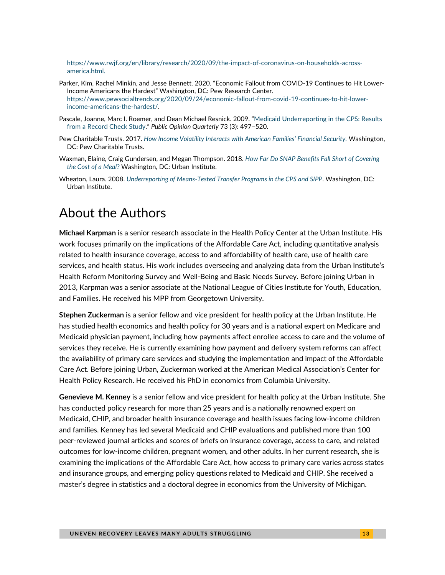[https://www.rwjf.org/en/library/research/2020/09/the-impact-of-coronavirus-on-households-across](https://www.rwjf.org/en/library/research/2020/09/the-impact-of-coronavirus-on-households-across-america.html)[america.html.](https://www.rwjf.org/en/library/research/2020/09/the-impact-of-coronavirus-on-households-across-america.html)

- Parker, Kim, Rachel Minkin, and Jesse Bennett. 2020. "Economic Fallout from COVID-19 Continues to Hit Lower-Income Americans the Hardest" Washington, DC: Pew Research Center. [https://www.pewsocialtrends.org/2020/09/24/economic-fallout-from-covid-19-continues-to-hit-lower](https://www.pewsocialtrends.org/2020/09/24/economic-fallout-from-covid-19-continues-to-hit-lower-income-americans-the-hardest/)[income-americans-the-hardest/.](https://www.pewsocialtrends.org/2020/09/24/economic-fallout-from-covid-19-continues-to-hit-lower-income-americans-the-hardest/)
- Pascale, Joanne, Marc I. Roemer, and Dean Michael Resnick. 2009. "[Medicaid Underreporting in the CPS: Results](https://doi.org/10.1093/poq/nfp028)  [from a Record Check Study](https://doi.org/10.1093/poq/nfp028)." *Public Opinion Quarterly* 73 (3): 497–520.
- Pew Charitable Trusts. 2017. *[How Income Volatility Interacts with American Families' Financial Security.](https://www.pewtrusts.org/en/research-and-analysis/issue-briefs/2017/03/how-income-volatility-interacts-with-american-families-financial-security)* Washington, DC: Pew Charitable Trusts.
- Waxman, Elaine, Craig Gundersen, and Megan Thompson. 2018. *[How Far Do SNAP Benefits Fall Short of Covering](https://www.urban.org/research/publication/how-far-do-snap-benefits-fall-short-covering-cost-meal)  [the Cost of a Meal?](https://www.urban.org/research/publication/how-far-do-snap-benefits-fall-short-covering-cost-meal)* Washington, DC: Urban Institute.
- Wheaton, Laura. 2008. *[Underreporting of Means-Tested Transfer Programs in the CPS and SIPP](https://www.urban.org/research/publication/underreporting-means-tested-transfer-programs-cps-and-sipp)*. Washington, DC: Urban Institute.

# About the Authors

**Michael Karpman** is a senior research associate in the Health Policy Center at the Urban Institute. His work focuses primarily on the implications of the Affordable Care Act, including quantitative analysis related to health insurance coverage, access to and affordability of health care, use of health care services, and health status. His work includes overseeing and analyzing data from the Urban Institute's Health Reform Monitoring Survey and Well-Being and Basic Needs Survey. Before joining Urban in 2013, Karpman was a senior associate at the National League of Cities Institute for Youth, Education, and Families. He received his MPP from Georgetown University.

**Stephen Zuckerman** is a senior fellow and vice president for health policy at the Urban Institute. He has studied health economics and health policy for 30 years and is a national expert on Medicare and Medicaid physician payment, including how payments affect enrollee access to care and the volume of services they receive. He is currently examining how payment and delivery system reforms can affect the availability of primary care services and studying the implementation and impact of the Affordable Care Act. Before joining Urban, Zuckerman worked at the American Medical Association's Center for Health Policy Research. He received his PhD in economics from Columbia University.

**Genevieve M. Kenney** is a senior fellow and vice president for health policy at the Urban Institute. She has conducted policy research for more than 25 years and is a nationally renowned expert on Medicaid, CHIP, and broader health insurance coverage and health issues facing low-income children and families. Kenney has led several Medicaid and CHIP evaluations and published more than 100 peer-reviewed journal articles and scores of briefs on insurance coverage, access to care, and related outcomes for low-income children, pregnant women, and other adults. In her current research, she is examining the implications of the Affordable Care Act, how access to primary care varies across states and insurance groups, and emerging policy questions related to Medicaid and CHIP. She received a master's degree in statistics and a doctoral degree in economics from the University of Michigan.